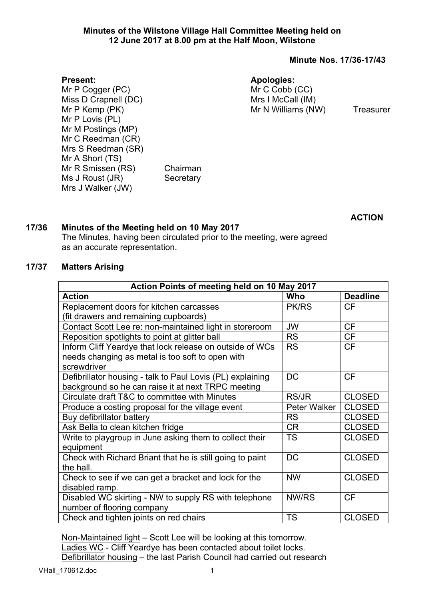# **Minutes of the Wilstone Village Hall Committee Meeting held on 12 June 2017 at 8.00 pm at the Half Moon, Wilstone**

# **Minute Nos. 17/36-17/43**

### **Apologies:**

Mr C Cobb (CC) Mrs I McCall (IM) Mr N Williams (NW) Treasurer

Mr P Cogger (PC) Miss D Crapnell (DC) Mr P Kemp (PK) Mr P Lovis (PL) Mr M Postings (MP) Mr C Reedman (CR) Mrs S Reedman (SR) Mr A Short (TS) Mr R Smissen (RS) Chairman Ms J Roust (JR) Secretary Mrs J Walker (JW)

**ACTION**

# **17/36 Minutes of the Meeting held on 10 May 2017**

The Minutes, having been circulated prior to the meeting, were agreed as an accurate representation.

# **17/37 Matters Arising**

**Present:**

| Action Points of meeting held on 10 May 2017               |              |                 |  |  |
|------------------------------------------------------------|--------------|-----------------|--|--|
| <b>Action</b>                                              | Who          | <b>Deadline</b> |  |  |
| Replacement doors for kitchen carcasses                    | <b>PK/RS</b> | <b>CF</b>       |  |  |
| (fit drawers and remaining cupboards)                      |              |                 |  |  |
| Contact Scott Lee re: non-maintained light in storeroom    | <b>JW</b>    | <b>CF</b>       |  |  |
| Reposition spotlights to point at glitter ball             | <b>RS</b>    | <b>CF</b>       |  |  |
| Inform Cliff Yeardye that lock release on outside of WCs   | <b>RS</b>    | <b>CF</b>       |  |  |
| needs changing as metal is too soft to open with           |              |                 |  |  |
| screwdriver                                                |              |                 |  |  |
| Defibrillator housing - talk to Paul Lovis (PL) explaining | DC           | <b>CF</b>       |  |  |
| background so he can raise it at next TRPC meeting         |              |                 |  |  |
| Circulate draft T&C to committee with Minutes              | <b>RS/JR</b> | <b>CLOSED</b>   |  |  |
| Produce a costing proposal for the village event           | Peter Walker | <b>CLOSED</b>   |  |  |
| Buy defibrillator battery                                  | <b>RS</b>    | <b>CLOSED</b>   |  |  |
| Ask Bella to clean kitchen fridge                          | <b>CR</b>    | <b>CLOSED</b>   |  |  |
| Write to playgroup in June asking them to collect their    | <b>TS</b>    | <b>CLOSED</b>   |  |  |
| equipment                                                  |              |                 |  |  |
| Check with Richard Briant that he is still going to paint  | <b>DC</b>    | <b>CLOSED</b>   |  |  |
| the hall.                                                  |              |                 |  |  |
| Check to see if we can get a bracket and lock for the      | <b>NW</b>    | <b>CLOSED</b>   |  |  |
| disabled ramp.                                             |              |                 |  |  |
| Disabled WC skirting - NW to supply RS with telephone      | NW/RS        | <b>CF</b>       |  |  |
| number of flooring company                                 |              |                 |  |  |
| Check and tighten joints on red chairs                     | <b>TS</b>    | <b>CLOSED</b>   |  |  |

Non-Maintained light – Scott Lee will be looking at this tomorrow. Ladies WC - Cliff Yeardye has been contacted about toilet locks. Defibrillator housing – the last Parish Council had carried out research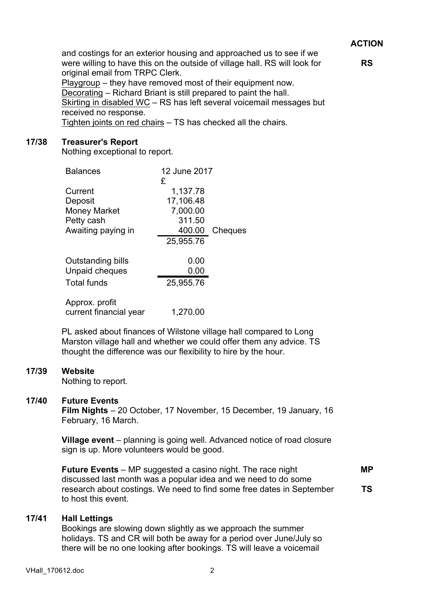# **ACTION**

**RS**

and costings for an exterior housing and approached us to see if we were willing to have this on the outside of village hall. RS will look for original email from TRPC Clerk.

Playgroup – they have removed most of their equipment now. Decorating – Richard Briant is still prepared to paint the hall. Skirting in disabled WC – RS has left several voicemail messages but received no response. Tighten joints on red chairs – TS has checked all the chairs.

# **17/38 Treasurer's Report**

Nothing exceptional to report.

| <b>Balances</b>        | 12 June 2017  |         |
|------------------------|---------------|---------|
| Current                | £<br>1,137.78 |         |
| Deposit                | 17,106.48     |         |
| <b>Money Market</b>    | 7,000.00      |         |
| Petty cash             | 311.50        |         |
| Awaiting paying in     | 400.00        | Cheques |
|                        | 25,955.76     |         |
| Outstanding bills      | 0.00          |         |
| Unpaid cheques         | 0.00          |         |
| <b>Total funds</b>     | 25,955.76     |         |
| Approx. profit         |               |         |
| current financial year | 1,270.00      |         |

PL asked about finances of Wilstone village hall compared to Long Marston village hall and whether we could offer them any advice. TS thought the difference was our flexibility to hire by the hour.

#### **17/39 Website**

Nothing to report.

# **17/40 Future Events**

**Film Nights** – 20 October, 17 November, 15 December, 19 January, 16 February, 16 March.

**Village event** – planning is going well. Advanced notice of road closure sign is up. More volunteers would be good.

**Future Events** – MP suggested a casino night. The race night discussed last month was a popular idea and we need to do some research about costings. We need to find some free dates in September to host this event. **MP TS**

#### **17/41 Hall Lettings**

Bookings are slowing down slightly as we approach the summer holidays. TS and CR will both be away for a period over June/July so there will be no one looking after bookings. TS will leave a voicemail